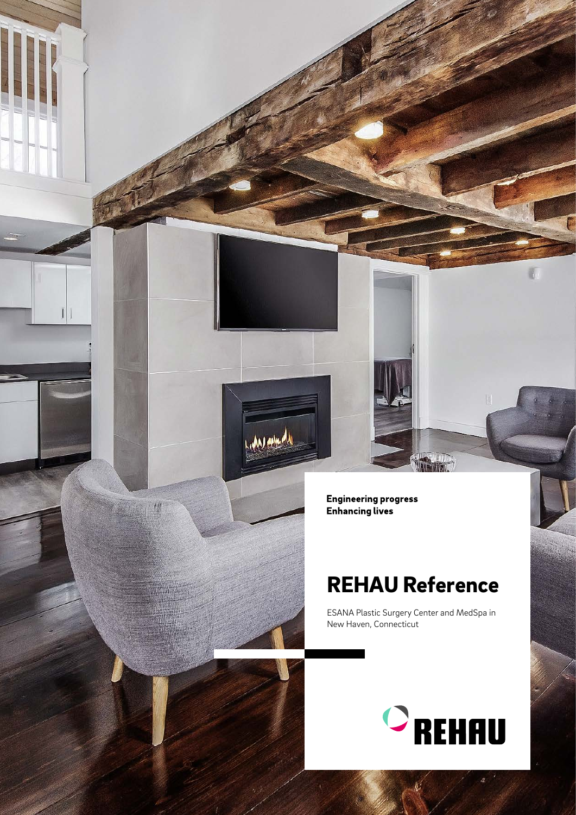Engineering progress<br>Enhancing lives

**LAN AND** 

## REHAU Reference

ESANA Plastic Surgery Center and MedSpa in New Haven, Connecticut